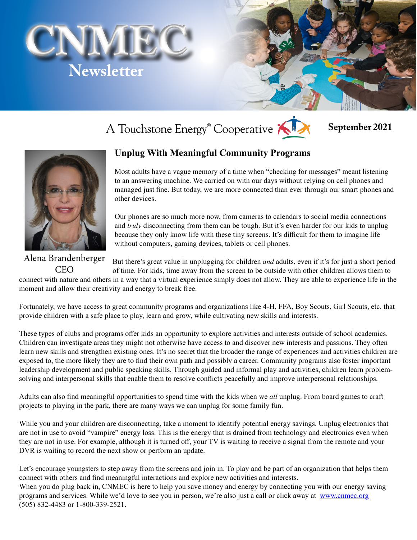



# A Touchstone Energy<sup>®</sup> Cooperative

#### **September 2021**



#### **Unplug With Meaningful Community Programs**

Most adults have a vague memory of a time when "checking for messages" meant listening to an answering machine. We carried on with our days without relying on cell phones and managed just fine. But today, we are more connected than ever through our smart phones and other devices.

Our phones are so much more now, from cameras to calendars to social media connections and *truly* disconnecting from them can be tough. But it's even harder for our kids to unplug because they only know life with these tiny screens. It's difficult for them to imagine life without computers, gaming devices, tablets or cell phones.

But there's great value in unplugging for children *and* adults, even if it's for just a short period of time. For kids, time away from the screen to be outside with other children allows them to connect with nature and others in a way that a virtual experience simply does not allow. They are able to experience life in the moment and allow their creativity and energy to break free. Alena Brandenberger CEO

Fortunately, we have access to great community programs and organizations like 4-H, FFA, Boy Scouts, Girl Scouts, etc. that provide children with a safe place to play, learn and grow, while cultivating new skills and interests.

These types of clubs and programs offer kids an opportunity to explore activities and interests outside of school academics. Children can investigate areas they might not otherwise have access to and discover new interests and passions. They often learn new skills and strengthen existing ones. It's no secret that the broader the range of experiences and activities children are exposed to, the more likely they are to find their own path and possibly a career. Community programs also foster important leadership development and public speaking skills. Through guided and informal play and activities, children learn problemsolving and interpersonal skills that enable them to resolve conflicts peacefully and improve interpersonal relationships.

Adults can also find meaningful opportunities to spend time with the kids when we *all* unplug. From board games to craft projects to playing in the park, there are many ways we can unplug for some family fun.

While you and your children are disconnecting, take a moment to identify potential energy savings. Unplug electronics that are not in use to avoid "vampire" energy loss. This is the energy that is drained from technology and electronics even when they are not in use. For example, although it is turned off, your TV is waiting to receive a signal from the remote and your DVR is waiting to record the next show or perform an update.

Let's encourage youngsters to step away from the screens and join in. To play and be part of an organization that helps them connect with others and find meaningful interactions and explore new activities and interests. When you do plug back in, CNMEC is here to help you save money and energy by connecting you with our energy saving

programs and services. While we'd love to see you in person, we're also just a call or click away at [www.cnmec.org](http://www.cnmec.org) (505) 832-4483 or 1-800-339-2521.